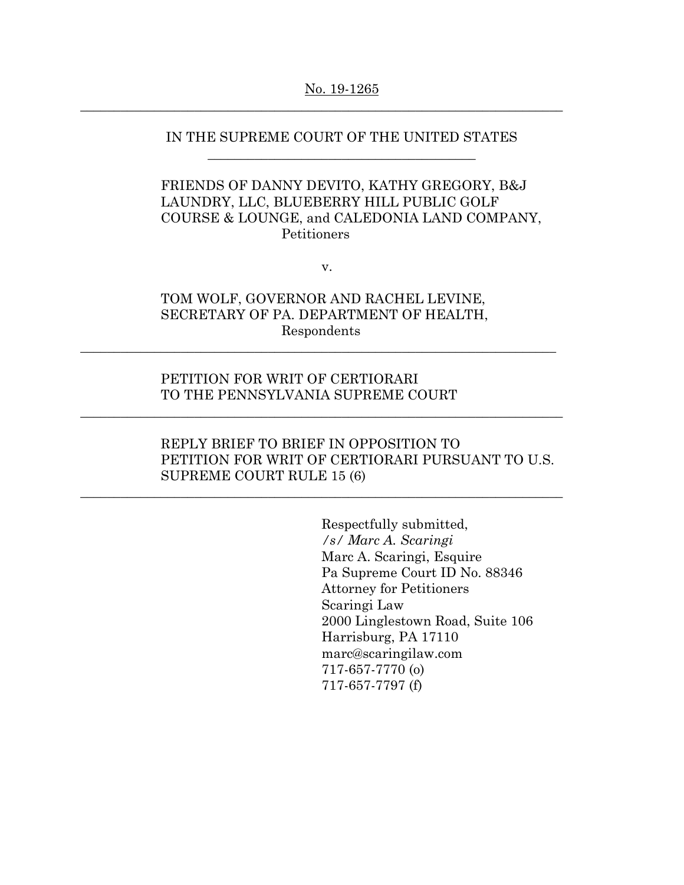### No. 19-1265

 $\_$  , and the set of the set of the set of the set of the set of the set of the set of the set of the set of the set of the set of the set of the set of the set of the set of the set of the set of the set of the set of th

# IN THE SUPREME COURT OF THE UNITED STATES \_\_\_\_\_\_\_\_\_\_\_\_\_\_\_\_\_\_\_\_\_\_\_\_\_\_\_\_\_\_\_\_\_\_\_\_\_\_\_\_

# FRIENDS OF DANNY DEVITO, KATHY GREGORY, B&J LAUNDRY, LLC, BLUEBERRY HILL PUBLIC GOLF COURSE & LOUNGE, and CALEDONIA LAND COMPANY, Petitioners

v.

# TOM WOLF, GOVERNOR AND RACHEL LEVINE, SECRETARY OF PA. DEPARTMENT OF HEALTH, Respondents

 $\_$  , and the set of the set of the set of the set of the set of the set of the set of the set of the set of the set of the set of the set of the set of the set of the set of the set of the set of the set of the set of th

 $\_$  , and the set of the set of the set of the set of the set of the set of the set of the set of the set of the set of the set of the set of the set of the set of the set of the set of the set of the set of the set of th

\_\_\_\_\_\_\_\_\_\_\_\_\_\_\_\_\_\_\_\_\_\_\_\_\_\_\_\_\_\_\_\_\_\_\_\_\_\_\_\_\_\_\_\_\_\_\_\_\_\_\_\_\_\_\_\_\_\_\_\_\_\_\_\_\_\_\_\_\_\_\_\_

## PETITION FOR WRIT OF CERTIORARI TO THE PENNSYLVANIA SUPREME COURT

# REPLY BRIEF TO BRIEF IN OPPOSITION TO PETITION FOR WRIT OF CERTIORARI PURSUANT TO U.S. SUPREME COURT RULE 15 (6)

Respectfully submitted, */s/ Marc A. Scaringi*  Marc A. Scaringi, Esquire Pa Supreme Court ID No. 88346 Attorney for Petitioners Scaringi Law 2000 Linglestown Road, Suite 106 Harrisburg, PA 17110 marc@scaringilaw.com 717-657-7770 (o) 717-657-7797 (f)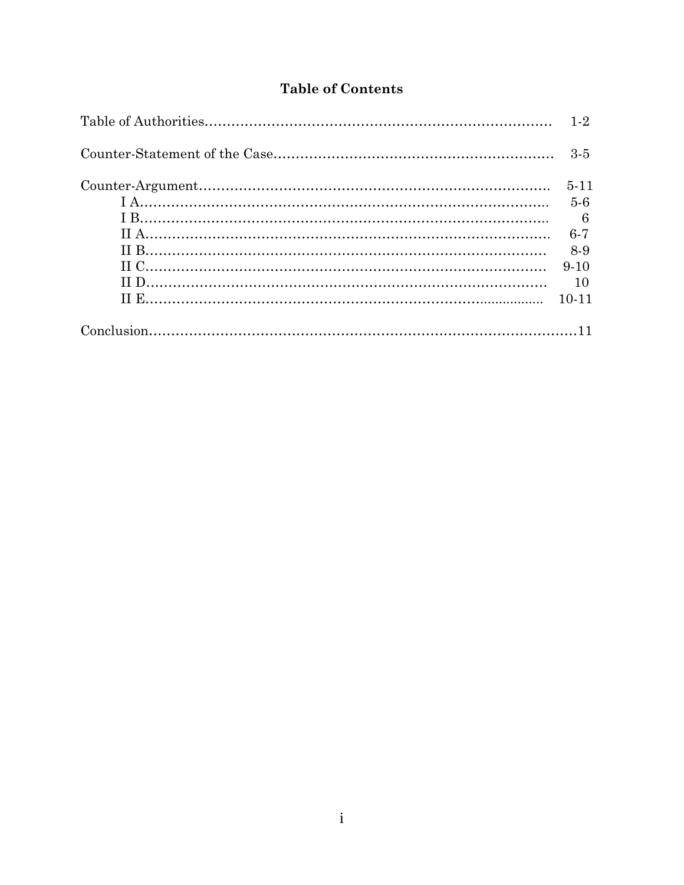# **Table of Contents**

| $3 - 5$        |
|----------------|
| $5 - 11$       |
| $5 - 6$        |
| $\overline{6}$ |
| $6 - 7$        |
| 8-9            |
| $9 - 10$       |
| 10             |
| $10 - 11$      |
|                |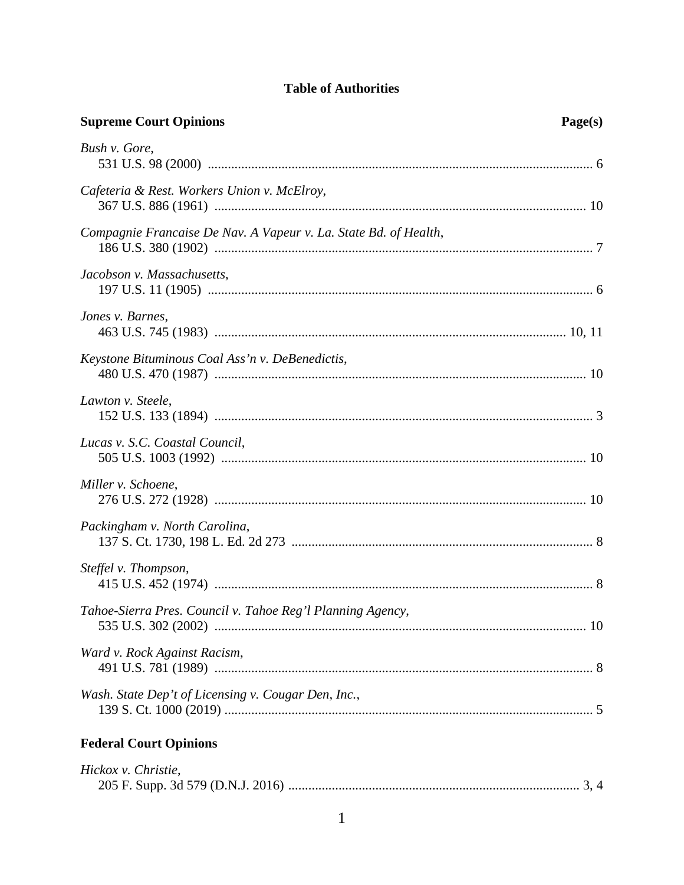# **Table of Authorities**

| <b>Supreme Court Opinions</b>                                    | Page(s) |
|------------------------------------------------------------------|---------|
| Bush v. Gore,                                                    |         |
| Cafeteria & Rest. Workers Union v. McElroy,                      |         |
| Compagnie Francaise De Nav. A Vapeur v. La. State Bd. of Health, |         |
| Jacobson v. Massachusetts,                                       |         |
| Jones v. Barnes,                                                 |         |
| Keystone Bituminous Coal Ass'n v. DeBenedictis,                  |         |
| Lawton v. Steele,                                                |         |
| Lucas v. S.C. Coastal Council,                                   |         |
| Miller v. Schoene,                                               |         |
| Packingham v. North Carolina,                                    |         |
| Steffel v. Thompson,                                             |         |
| Tahoe-Sierra Pres. Council v. Tahoe Reg'l Planning Agency,       |         |
| Ward v. Rock Against Racism,                                     |         |
| Wash. State Dep't of Licensing v. Cougar Den, Inc.,              |         |
| <b>Federal Court Opinions</b>                                    |         |

| Hickox v. Christie, |  |
|---------------------|--|
|                     |  |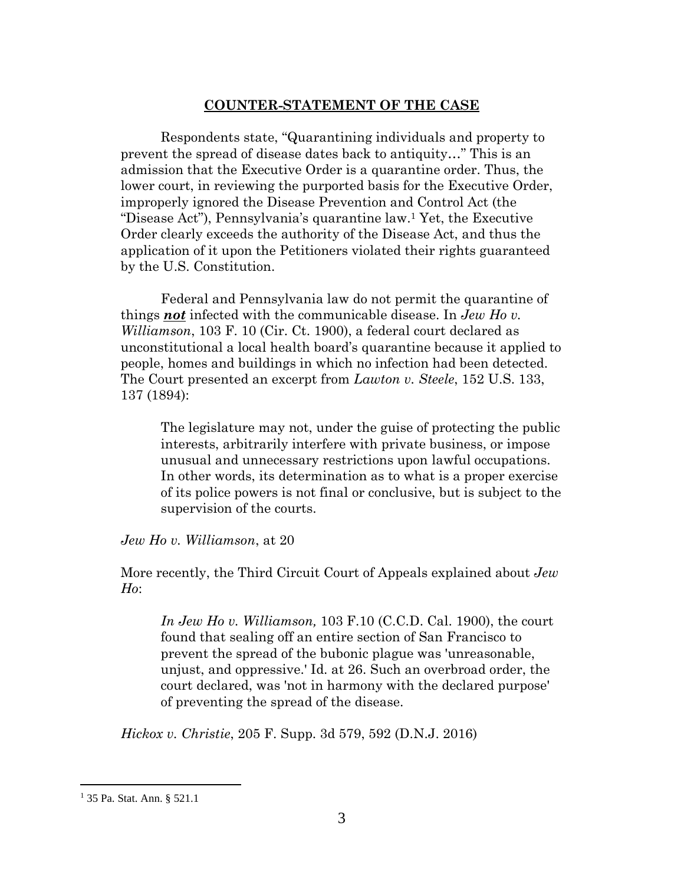## **COUNTER-STATEMENT OF THE CASE**

<span id="page-4-0"></span>Respondents state, "Quarantining individuals and property to prevent the spread of disease dates back to antiquity…" This is an admission that the Executive Order is a quarantine order. Thus, the lower court, in reviewing the purported basis for the Executive Order, improperly ignored the Disease Prevention and Control Act (the "Disease Act"), Pennsylvania's quarantine law.1 Yet, the Executive Order clearly exceeds the authority of the Disease Act, and thus the application of it upon the Petitioners violated their rights guaranteed by the U.S. Constitution.

Federal and Pennsylvania law do not permit the quarantine of things *not* infected with the communicable disease. In *Jew Ho v. Williamson*, 103 F. 10 (Cir. Ct. 1900), a federal court declared as unconstitutional a local health board's quarantine because it applied to people, homes and buildings in which no infection had been detected. The Court presented an excerpt from *Lawton v. Steele*, 152 U.S. 133, 137 (1894):

The legislature may not, under the guise of protecting the public interests, arbitrarily interfere with private business, or impose unusual and unnecessary restrictions upon lawful occupations. In other words, its determination as to what is a proper exercise of its police powers is not final or conclusive, but is subject to the supervision of the courts.

*Jew Ho v. Williamson*, at 20

More recently, the Third Circuit Court of Appeals explained about *Jew Ho*:

*In Jew Ho v. Williamson,* 103 F.10 (C.C.D. Cal. 1900), the court found that sealing off an entire section of San Francisco to prevent the spread of the bubonic plague was 'unreasonable, unjust, and oppressive.' Id. at 26. Such an overbroad order, the court declared, was 'not in harmony with the declared purpose' of preventing the spread of the disease.

*Hickox v. Christie*, 205 F. Supp. 3d 579, 592 (D.N.J. 2016)

<sup>1</sup> 35 Pa. Stat. Ann. § 521.1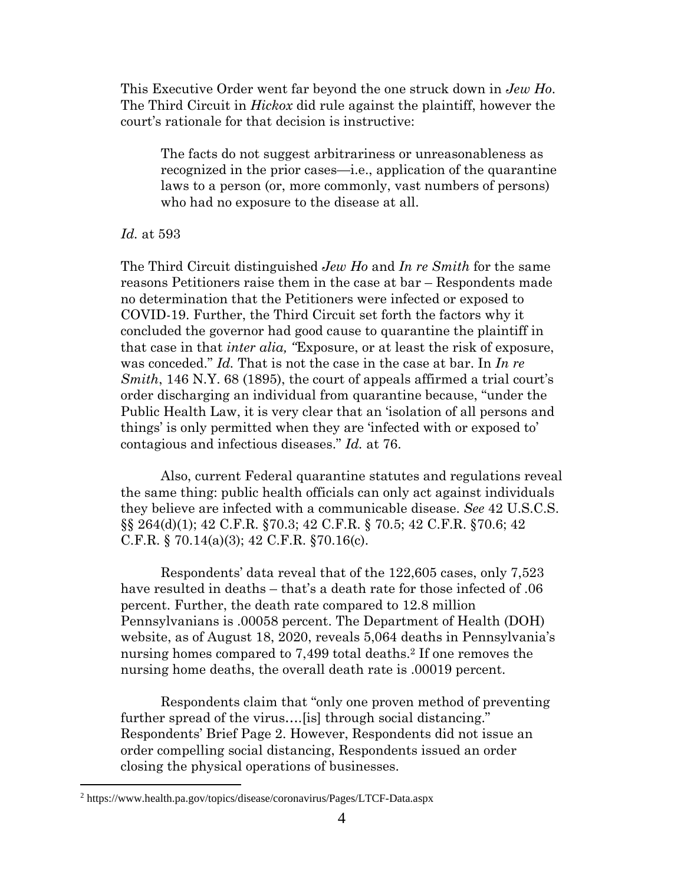<span id="page-5-0"></span>This Executive Order went far beyond the one struck down in *Jew Ho*. The Third Circuit in *Hickox* did rule against the plaintiff, however the court's rationale for that decision is instructive:

The facts do not suggest arbitrariness or unreasonableness as recognized in the prior cases—i.e., application of the quarantine laws to a person (or, more commonly, vast numbers of persons) who had no exposure to the disease at all.

#### *Id.* at 593

The Third Circuit distinguished *Jew Ho* and *In re Smith* for the same reasons Petitioners raise them in the case at bar – Respondents made no determination that the Petitioners were infected or exposed to COVID-19. Further, the Third Circuit set forth the factors why it concluded the governor had good cause to quarantine the plaintiff in that case in that *inter alia, "*Exposure, or at least the risk of exposure, was conceded." *Id.* That is not the case in the case at bar. In *In re Smith*, 146 N.Y. 68 (1895), the court of appeals affirmed a trial court's order discharging an individual from quarantine because, "under the Public Health Law, it is very clear that an 'isolation of all persons and things' is only permitted when they are 'infected with or exposed to' contagious and infectious diseases." *Id.* at 76.

Also, current Federal quarantine statutes and regulations reveal the same thing: public health officials can only act against individuals they believe are infected with a communicable disease. *See* 42 U.S.C.S. §§ 264(d)(1); 42 C.F.R. §70.3; 42 C.F.R. § 70.5; 42 C.F.R. §70.6; 42 C.F.R. § 70.14(a)(3); 42 C.F.R. §70.16(c).

Respondents' data reveal that of the 122,605 cases, only 7,523 have resulted in deaths – that's a death rate for those infected of .06 percent. Further, the death rate compared to 12.8 million Pennsylvanians is .00058 percent. The Department of Health (DOH) website, as of August 18, 2020, reveals 5,064 deaths in Pennsylvania's nursing homes compared to 7,499 total deaths.<sup>2</sup> If one removes the nursing home deaths, the overall death rate is .00019 percent.

Respondents claim that "only one proven method of preventing further spread of the virus….[is] through social distancing." Respondents' Brief Page 2. However, Respondents did not issue an order compelling social distancing, Respondents issued an order closing the physical operations of businesses.

<sup>2</sup> https://www.health.pa.gov/topics/disease/coronavirus/Pages/LTCF-Data.aspx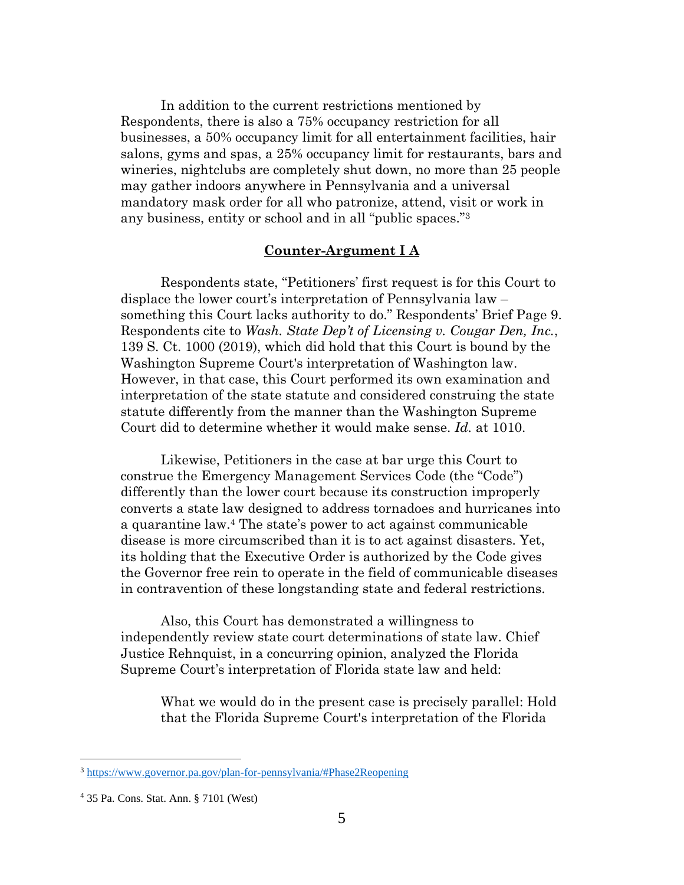<span id="page-6-0"></span>In addition to the current restrictions mentioned by Respondents, there is also a 75% occupancy restriction for all businesses, a 50% occupancy limit for all entertainment facilities, hair salons, gyms and spas, a 25% occupancy limit for restaurants, bars and wineries, nightclubs are completely shut down, no more than 25 people may gather indoors anywhere in Pennsylvania and a universal mandatory mask order for all who patronize, attend, visit or work in any business, entity or school and in all "public spaces."<sup>3</sup>

## **Counter-Argument I A**

Respondents state, "Petitioners' first request is for this Court to displace the lower court's interpretation of Pennsylvania law – something this Court lacks authority to do." Respondents' Brief Page 9. Respondents cite to *Wash. State Dep't of Licensing v. Cougar Den, Inc.*, 139 S. Ct. 1000 (2019), which did hold that this Court is bound by the Washington Supreme Court's interpretation of Washington law. However, in that case, this Court performed its own examination and interpretation of the state statute and considered construing the state statute differently from the manner than the Washington Supreme Court did to determine whether it would make sense. *Id.* at 1010.

Likewise, Petitioners in the case at bar urge this Court to construe the Emergency Management Services Code (the "Code") differently than the lower court because its construction improperly converts a state law designed to address tornadoes and hurricanes into a quarantine law.4 The state's power to act against communicable disease is more circumscribed than it is to act against disasters. Yet, its holding that the Executive Order is authorized by the Code gives the Governor free rein to operate in the field of communicable diseases in contravention of these longstanding state and federal restrictions.

Also, this Court has demonstrated a willingness to independently review state court determinations of state law. Chief Justice Rehnquist, in a concurring opinion, analyzed the Florida Supreme Court's interpretation of Florida state law and held:

What we would do in the present case is precisely parallel: Hold that the Florida Supreme Court's interpretation of the Florida

<sup>3</sup> https://www.governor.pa.gov/plan-for-pennsylvania/#Phase2Reopening

<sup>4</sup> 35 Pa. Cons. Stat. Ann. § 7101 (West)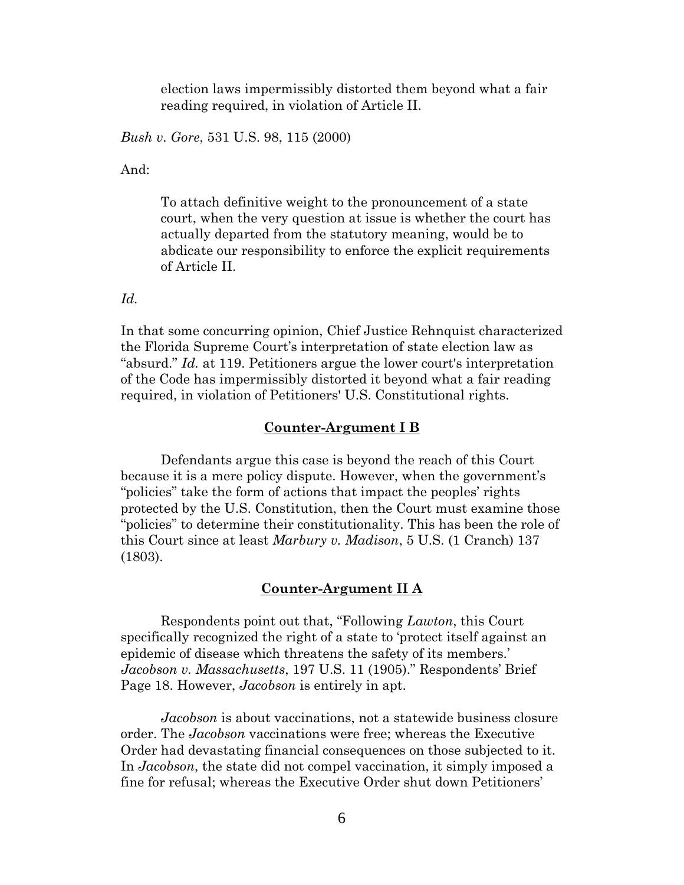election laws impermissibly distorted them beyond what a fair reading required, in violation of Article II.

<span id="page-7-0"></span>*Bush v. Gore*, 531 U.S. 98, 115 (2000)

And:

To attach definitive weight to the pronouncement of a state court, when the very question at issue is whether the court has actually departed from the statutory meaning, would be to abdicate our responsibility to enforce the explicit requirements of Article II.

*Id.* 

In that some concurring opinion, Chief Justice Rehnquist characterized the Florida Supreme Court's interpretation of state election law as "absurd." *Id.* at 119. Petitioners argue the lower court's interpretation of the Code has impermissibly distorted it beyond what a fair reading required, in violation of Petitioners' U.S. Constitutional rights.

#### **Counter-Argument I B**

Defendants argue this case is beyond the reach of this Court because it is a mere policy dispute. However, when the government's "policies" take the form of actions that impact the peoples' rights protected by the U.S. Constitution, then the Court must examine those "policies" to determine their constitutionality. This has been the role of this Court since at least *Marbury v. Madison*, 5 U.S. (1 Cranch) 137 (1803).

## **Counter-Argument II A**

Respondents point out that, "Following *Lawton*, this Court specifically recognized the right of a state to 'protect itself against an epidemic of disease which threatens the safety of its members.' *Jacobson v. Massachusetts*, 197 U.S. 11 (1905)." Respondents' Brief Page 18. However, *Jacobson* is entirely in apt.

*Jacobson* is about vaccinations, not a statewide business closure order. The *Jacobson* vaccinations were free; whereas the Executive Order had devastating financial consequences on those subjected to it. In *Jacobson*, the state did not compel vaccination, it simply imposed a fine for refusal; whereas the Executive Order shut down Petitioners'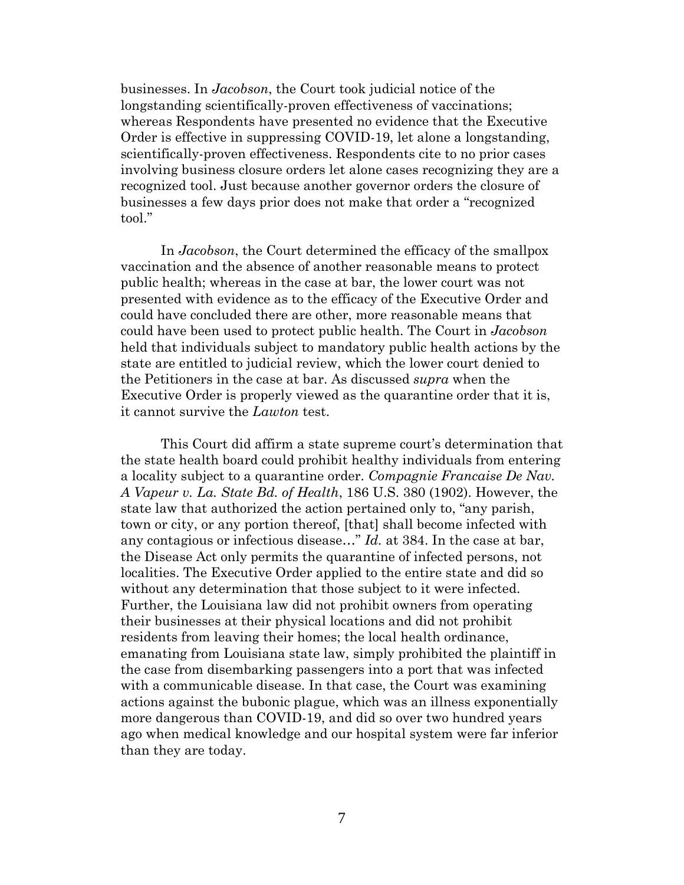<span id="page-8-0"></span>businesses. In *Jacobson*, the Court took judicial notice of the longstanding scientifically-proven effectiveness of vaccinations; whereas Respondents have presented no evidence that the Executive Order is effective in suppressing COVID-19, let alone a longstanding, scientifically-proven effectiveness. Respondents cite to no prior cases involving business closure orders let alone cases recognizing they are a recognized tool. Just because another governor orders the closure of businesses a few days prior does not make that order a "recognized tool."

In *Jacobson*, the Court determined the efficacy of the smallpox vaccination and the absence of another reasonable means to protect public health; whereas in the case at bar, the lower court was not presented with evidence as to the efficacy of the Executive Order and could have concluded there are other, more reasonable means that could have been used to protect public health. The Court in *Jacobson* held that individuals subject to mandatory public health actions by the state are entitled to judicial review, which the lower court denied to the Petitioners in the case at bar. As discussed *supra* when the Executive Order is properly viewed as the quarantine order that it is, it cannot survive the *Lawton* test.

This Court did affirm a state supreme court's determination that the state health board could prohibit healthy individuals from entering a locality subject to a quarantine order. *Compagnie Francaise De Nav. A Vapeur v. La. State Bd. of Health*, 186 U.S. 380 (1902). However, the state law that authorized the action pertained only to, "any parish, town or city, or any portion thereof, [that] shall become infected with any contagious or infectious disease…" *Id.* at 384. In the case at bar, the Disease Act only permits the quarantine of infected persons, not localities. The Executive Order applied to the entire state and did so without any determination that those subject to it were infected. Further, the Louisiana law did not prohibit owners from operating their businesses at their physical locations and did not prohibit residents from leaving their homes; the local health ordinance, emanating from Louisiana state law, simply prohibited the plaintiff in the case from disembarking passengers into a port that was infected with a communicable disease. In that case, the Court was examining actions against the bubonic plague, which was an illness exponentially more dangerous than COVID-19, and did so over two hundred years ago when medical knowledge and our hospital system were far inferior than they are today.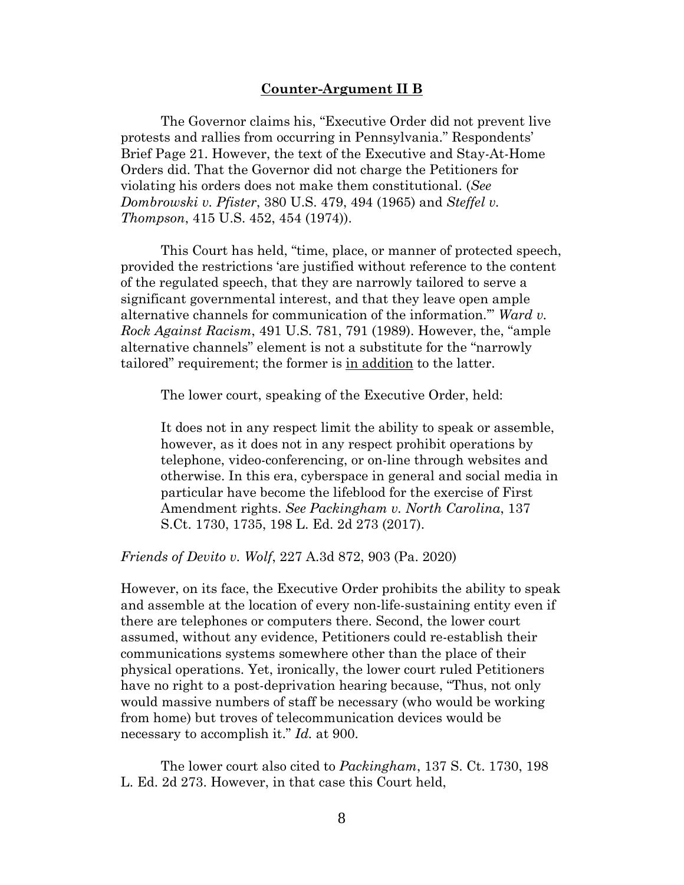### **Counter-Argument II B**

<span id="page-9-0"></span>The Governor claims his, "Executive Order did not prevent live protests and rallies from occurring in Pennsylvania." Respondents' Brief Page 21. However, the text of the Executive and Stay-At-Home Orders did. That the Governor did not charge the Petitioners for violating his orders does not make them constitutional. (*See Dombrowski v. Pfister*, 380 U.S. 479, 494 (1965) and *Steffel v. Thompson*, 415 U.S. 452, 454 (1974)).

This Court has held, "time, place, or manner of protected speech, provided the restrictions 'are justified without reference to the content of the regulated speech, that they are narrowly tailored to serve a significant governmental interest, and that they leave open ample alternative channels for communication of the information.'" *Ward v. Rock Against Racism*, 491 U.S. 781, 791 (1989). However, the, "ample alternative channels" element is not a substitute for the "narrowly tailored" requirement; the former is in addition to the latter.

The lower court, speaking of the Executive Order, held:

It does not in any respect limit the ability to speak or assemble, however, as it does not in any respect prohibit operations by telephone, video-conferencing, or on-line through websites and otherwise. In this era, cyberspace in general and social media in particular have become the lifeblood for the exercise of First Amendment rights. *See Packingham v. North Carolina*, 137 S.Ct. 1730, 1735, 198 L. Ed. 2d 273 (2017).

*Friends of Devito v. Wolf*, 227 A.3d 872, 903 (Pa. 2020)

However, on its face, the Executive Order prohibits the ability to speak and assemble at the location of every non-life-sustaining entity even if there are telephones or computers there. Second, the lower court assumed, without any evidence, Petitioners could re-establish their communications systems somewhere other than the place of their physical operations. Yet, ironically, the lower court ruled Petitioners have no right to a post-deprivation hearing because, "Thus, not only would massive numbers of staff be necessary (who would be working from home) but troves of telecommunication devices would be necessary to accomplish it." *Id.* at 900.

The lower court also cited to *Packingham*, 137 S. Ct. 1730, 198 L. Ed. 2d 273. However, in that case this Court held,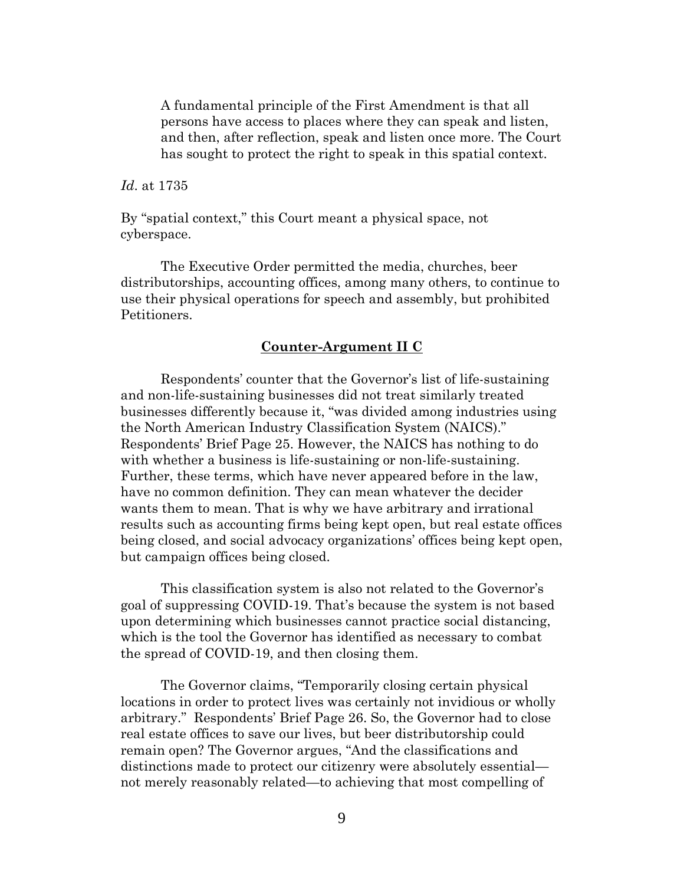A fundamental principle of the First Amendment is that all persons have access to places where they can speak and listen, and then, after reflection, speak and listen once more. The Court has sought to protect the right to speak in this spatial context.

*Id*. at 1735

By "spatial context," this Court meant a physical space, not cyberspace.

The Executive Order permitted the media, churches, beer distributorships, accounting offices, among many others, to continue to use their physical operations for speech and assembly, but prohibited Petitioners.

## **Counter-Argument II C**

Respondents' counter that the Governor's list of life-sustaining and non-life-sustaining businesses did not treat similarly treated businesses differently because it, "was divided among industries using the North American Industry Classification System (NAICS)." Respondents' Brief Page 25. However, the NAICS has nothing to do with whether a business is life-sustaining or non-life-sustaining. Further, these terms, which have never appeared before in the law, have no common definition. They can mean whatever the decider wants them to mean. That is why we have arbitrary and irrational results such as accounting firms being kept open, but real estate offices being closed, and social advocacy organizations' offices being kept open, but campaign offices being closed.

This classification system is also not related to the Governor's goal of suppressing COVID-19. That's because the system is not based upon determining which businesses cannot practice social distancing, which is the tool the Governor has identified as necessary to combat the spread of COVID-19, and then closing them.

The Governor claims, "Temporarily closing certain physical locations in order to protect lives was certainly not invidious or wholly arbitrary." Respondents' Brief Page 26. So, the Governor had to close real estate offices to save our lives, but beer distributorship could remain open? The Governor argues, "And the classifications and distinctions made to protect our citizenry were absolutely essential not merely reasonably related—to achieving that most compelling of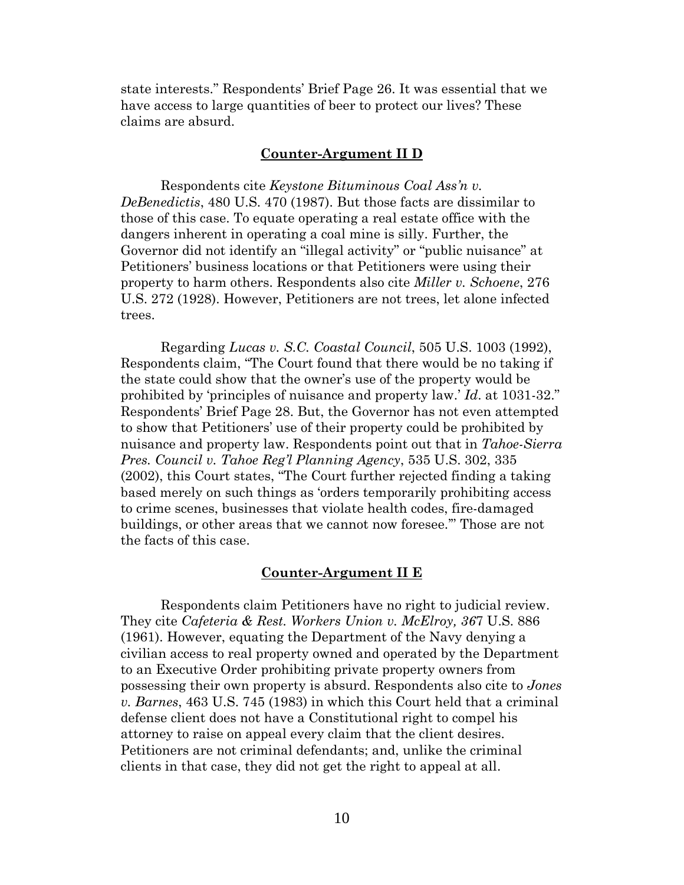<span id="page-11-0"></span>state interests." Respondents' Brief Page 26. It was essential that we have access to large quantities of beer to protect our lives? These claims are absurd.

### **Counter-Argument II D**

Respondents cite *Keystone Bituminous Coal Ass'n v. DeBenedictis*, 480 U.S. 470 (1987). But those facts are dissimilar to those of this case. To equate operating a real estate office with the dangers inherent in operating a coal mine is silly. Further, the Governor did not identify an "illegal activity" or "public nuisance" at Petitioners' business locations or that Petitioners were using their property to harm others. Respondents also cite *Miller v. Schoene*, 276 U.S. 272 (1928). However, Petitioners are not trees, let alone infected trees.

Regarding *Lucas v. S.C. Coastal Council*, 505 U.S. 1003 (1992), Respondents claim, "The Court found that there would be no taking if the state could show that the owner's use of the property would be prohibited by 'principles of nuisance and property law.' *Id*. at 1031-32." Respondents' Brief Page 28. But, the Governor has not even attempted to show that Petitioners' use of their property could be prohibited by nuisance and property law. Respondents point out that in *Tahoe-Sierra Pres. Council v. Tahoe Reg'l Planning Agency*, 535 U.S. 302, 335 (2002), this Court states, "The Court further rejected finding a taking based merely on such things as 'orders temporarily prohibiting access to crime scenes, businesses that violate health codes, fire-damaged buildings, or other areas that we cannot now foresee.'" Those are not the facts of this case.

## **Counter-Argument II E**

Respondents claim Petitioners have no right to judicial review. They cite *Cafeteria & Rest. Workers Union v. McElroy, 36*7 U.S. 886 (1961). However, equating the Department of the Navy denying a civilian access to real property owned and operated by the Department to an Executive Order prohibiting private property owners from possessing their own property is absurd. Respondents also cite to *Jones v. Barnes*, 463 U.S. 745 (1983) in which this Court held that a criminal defense client does not have a Constitutional right to compel his attorney to raise on appeal every claim that the client desires. Petitioners are not criminal defendants; and, unlike the criminal clients in that case, they did not get the right to appeal at all.